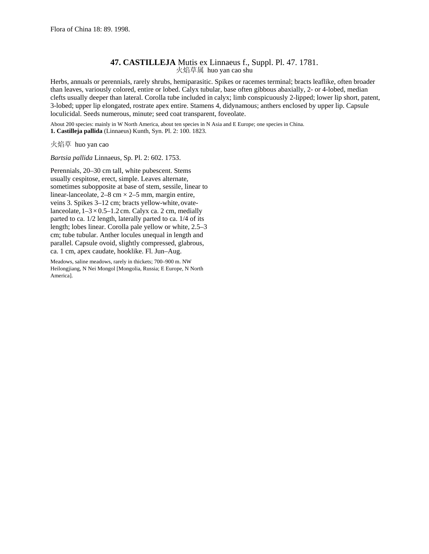## **47. CASTILLEJA** Mutis ex Linnaeus f., Suppl. Pl. 47. 1781. 火焰草属 huo yan cao shu

Herbs, annuals or perennials, rarely shrubs, hemiparasitic. Spikes or racemes terminal; bracts leaflike, often broader than leaves, variously colored, entire or lobed. Calyx tubular, base often gibbous abaxially, 2- or 4-lobed, median clefts usually deeper than lateral. Corolla tube included in calyx; limb conspicuously 2-lipped; lower lip short, patent, 3-lobed; upper lip elongated, rostrate apex entire. Stamens 4, didynamous; anthers enclosed by upper lip. Capsule loculicidal. Seeds numerous, minute; seed coat transparent, foveolate.

About 200 species: mainly in W North America, about ten species in N Asia and E Europe; one species in China. **1. Castilleja pallida** (Linnaeus) Kunth, Syn. Pl. 2: 100. 1823.

火焰草 huo yan cao

*Bartsia pallida* Linnaeus, Sp. Pl. 2: 602. 1753.

Perennials, 20–30 cm tall, white pubescent. Stems usually cespitose, erect, simple. Leaves alternate, sometimes subopposite at base of stem, sessile, linear to linear-lanceolate,  $2-8$  cm  $\times$  2-5 mm, margin entire, veins 3. Spikes 3–12 cm; bracts yellow-white, ovatelanceolate,  $1-3 \times 0.5-1.2$  cm. Calyx ca. 2 cm, medially parted to ca. 1/2 length, laterally parted to ca. 1/4 of its length; lobes linear. Corolla pale yellow or white, 2.5–3 cm; tube tubular. Anther locules unequal in length and parallel. Capsule ovoid, slightly compressed, glabrous, ca. 1 cm, apex caudate, hooklike. Fl. Jun–Aug.

Meadows, saline meadows, rarely in thickets; 700–900 m. NW Heilongjiang, N Nei Mongol [Mongolia, Russia; E Europe, N North America].